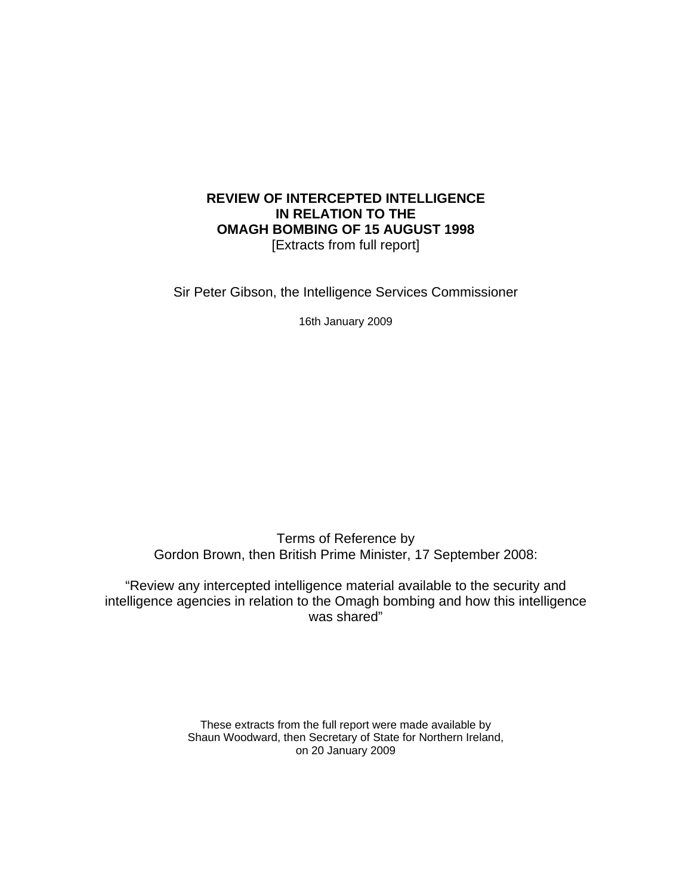#### **REVIEW OF INTERCEPTED INTELLIGENCE IN RELATION TO THE OMAGH BOMBING OF 15 AUGUST 1998**  [Extracts from full report]

Sir Peter Gibson, the Intelligence Services Commissioner

16th January 2009

Terms of Reference by Gordon Brown, then British Prime Minister, 17 September 2008:

"Review any intercepted intelligence material available to the security and intelligence agencies in relation to the Omagh bombing and how this intelligence was shared"

> These extracts from the full report were made available by Shaun Woodward, then Secretary of State for Northern Ireland, on 20 January 2009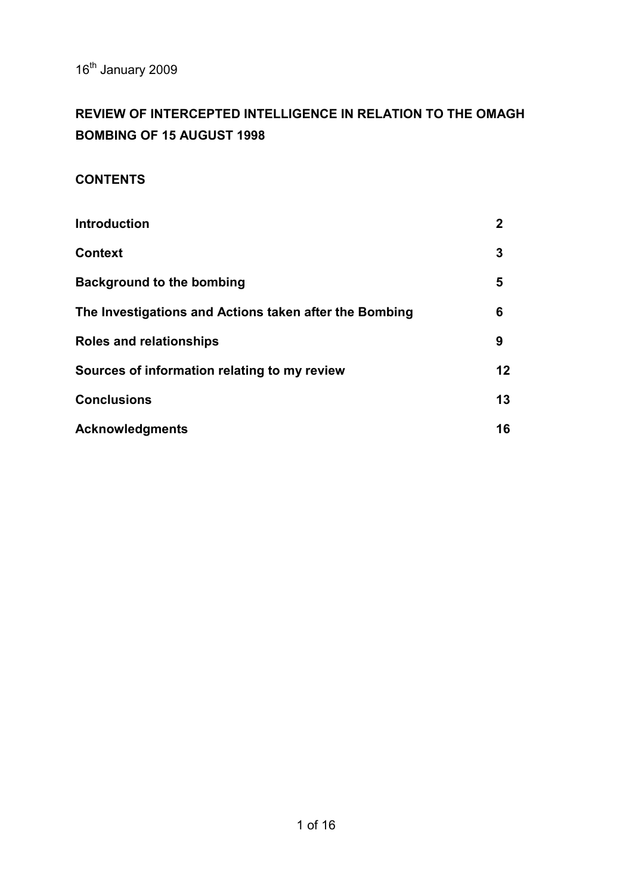16<sup>th</sup> January 2009

# **REVIEW OF INTERCEPTED INTELLIGENCE IN RELATION TO THE OMAGH BOMBING OF 15 AUGUST 1998**

## **CONTENTS**

| <b>Introduction</b>                                    | $\mathbf{2}$ |
|--------------------------------------------------------|--------------|
| <b>Context</b>                                         | 3            |
| <b>Background to the bombing</b>                       | 5            |
| The Investigations and Actions taken after the Bombing | 6            |
| <b>Roles and relationships</b>                         | 9            |
| Sources of information relating to my review           | 12           |
| <b>Conclusions</b>                                     | 13           |
| <b>Acknowledgments</b>                                 | 16           |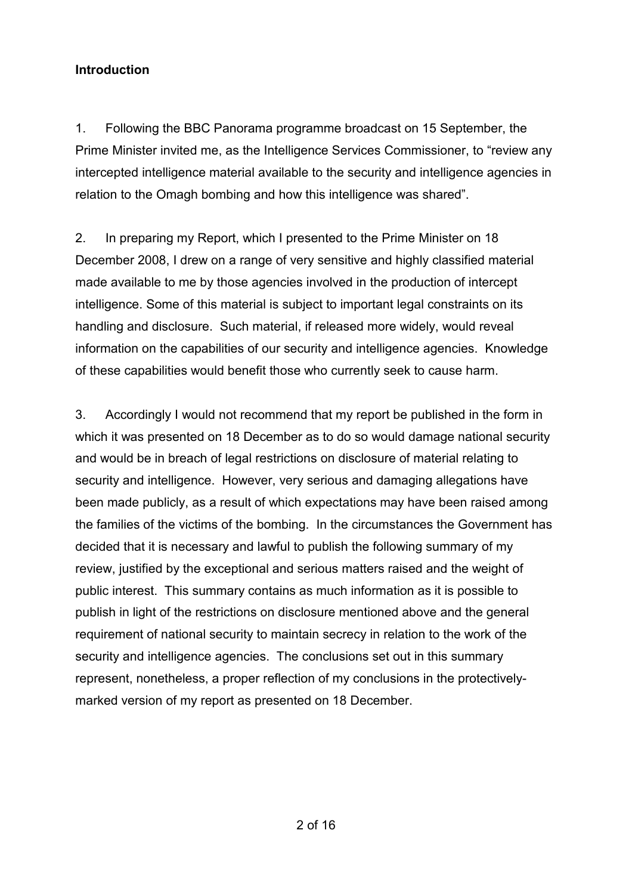## **Introduction**

1. Following the BBC Panorama programme broadcast on 15 September, the Prime Minister invited me, as the Intelligence Services Commissioner, to "review any intercepted intelligence material available to the security and intelligence agencies in relation to the Omagh bombing and how this intelligence was shared".

2. In preparing my Report, which I presented to the Prime Minister on 18 December 2008, I drew on a range of very sensitive and highly classified material made available to me by those agencies involved in the production of intercept intelligence. Some of this material is subject to important legal constraints on its handling and disclosure. Such material, if released more widely, would reveal information on the capabilities of our security and intelligence agencies. Knowledge of these capabilities would benefit those who currently seek to cause harm.

3. Accordingly I would not recommend that my report be published in the form in which it was presented on 18 December as to do so would damage national security and would be in breach of legal restrictions on disclosure of material relating to security and intelligence. However, very serious and damaging allegations have been made publicly, as a result of which expectations may have been raised among the families of the victims of the bombing. In the circumstances the Government has decided that it is necessary and lawful to publish the following summary of my review, justified by the exceptional and serious matters raised and the weight of public interest. This summary contains as much information as it is possible to publish in light of the restrictions on disclosure mentioned above and the general requirement of national security to maintain secrecy in relation to the work of the security and intelligence agencies. The conclusions set out in this summary represent, nonetheless, a proper reflection of my conclusions in the protectivelymarked version of my report as presented on 18 December.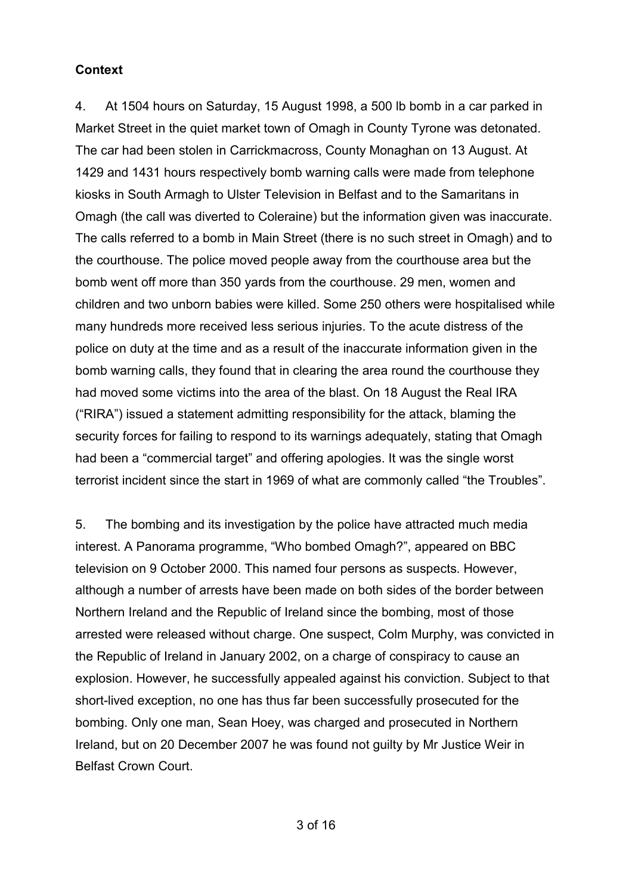#### **Context**

4. At 1504 hours on Saturday, 15 August 1998, a 500 lb bomb in a car parked in Market Street in the quiet market town of Omagh in County Tyrone was detonated. The car had been stolen in Carrickmacross, County Monaghan on 13 August. At 1429 and 1431 hours respectively bomb warning calls were made from telephone kiosks in South Armagh to Ulster Television in Belfast and to the Samaritans in Omagh (the call was diverted to Coleraine) but the information given was inaccurate. The calls referred to a bomb in Main Street (there is no such street in Omagh) and to the courthouse. The police moved people away from the courthouse area but the bomb went off more than 350 yards from the courthouse. 29 men, women and children and two unborn babies were killed. Some 250 others were hospitalised while many hundreds more received less serious injuries. To the acute distress of the police on duty at the time and as a result of the inaccurate information given in the bomb warning calls, they found that in clearing the area round the courthouse they had moved some victims into the area of the blast. On 18 August the Real IRA ("RIRA") issued a statement admitting responsibility for the attack, blaming the security forces for failing to respond to its warnings adequately, stating that Omagh had been a "commercial target" and offering apologies. It was the single worst terrorist incident since the start in 1969 of what are commonly called "the Troubles".

5. The bombing and its investigation by the police have attracted much media interest. A Panorama programme, "Who bombed Omagh?", appeared on BBC television on 9 October 2000. This named four persons as suspects. However, although a number of arrests have been made on both sides of the border between Northern Ireland and the Republic of Ireland since the bombing, most of those arrested were released without charge. One suspect, Colm Murphy, was convicted in the Republic of Ireland in January 2002, on a charge of conspiracy to cause an explosion. However, he successfully appealed against his conviction. Subject to that short-lived exception, no one has thus far been successfully prosecuted for the bombing. Only one man, Sean Hoey, was charged and prosecuted in Northern Ireland, but on 20 December 2007 he was found not guilty by Mr Justice Weir in Belfast Crown Court.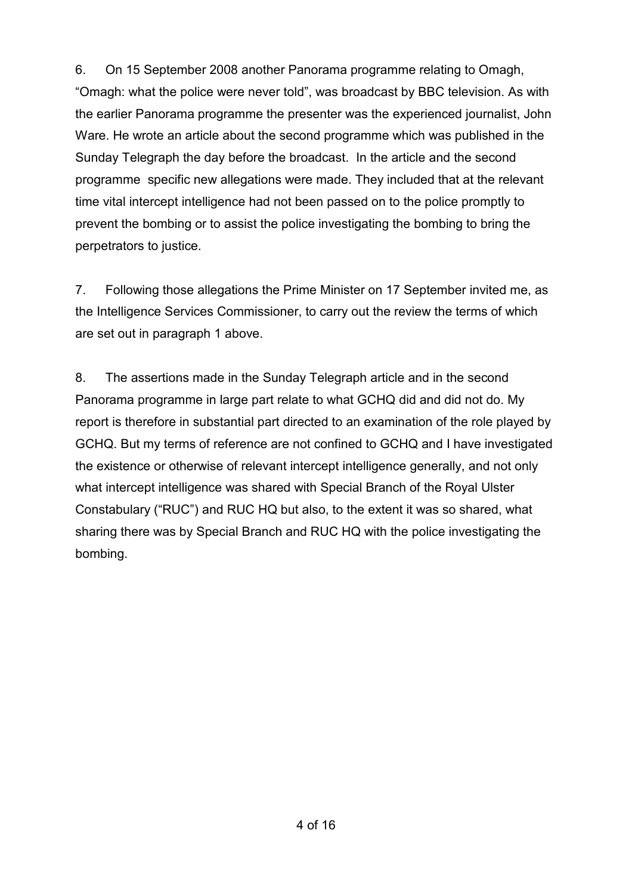6. On 15 September 2008 another Panorama programme relating to Omagh, "Omagh: what the police were never told", was broadcast by BBC television. As with the earlier Panorama programme the presenter was the experienced journalist, John Ware. He wrote an article about the second programme which was published in the Sunday Telegraph the day before the broadcast. In the article and the second programme specific new allegations were made. They included that at the relevant time vital intercept intelligence had not been passed on to the police promptly to prevent the bombing or to assist the police investigating the bombing to bring the perpetrators to justice.

7. Following those allegations the Prime Minister on 17 September invited me, as the Intelligence Services Commissioner, to carry out the review the terms of which are set out in paragraph 1 above.

8. The assertions made in the Sunday Telegraph article and in the second Panorama programme in large part relate to what GCHQ did and did not do. My report is therefore in substantial part directed to an examination of the role played by GCHQ. But my terms of reference are not confined to GCHQ and I have investigated the existence or otherwise of relevant intercept intelligence generally, and not only what intercept intelligence was shared with Special Branch of the Royal Ulster Constabulary ("RUC") and RUC HQ but also, to the extent it was so shared, what sharing there was by Special Branch and RUC HQ with the police investigating the bombing.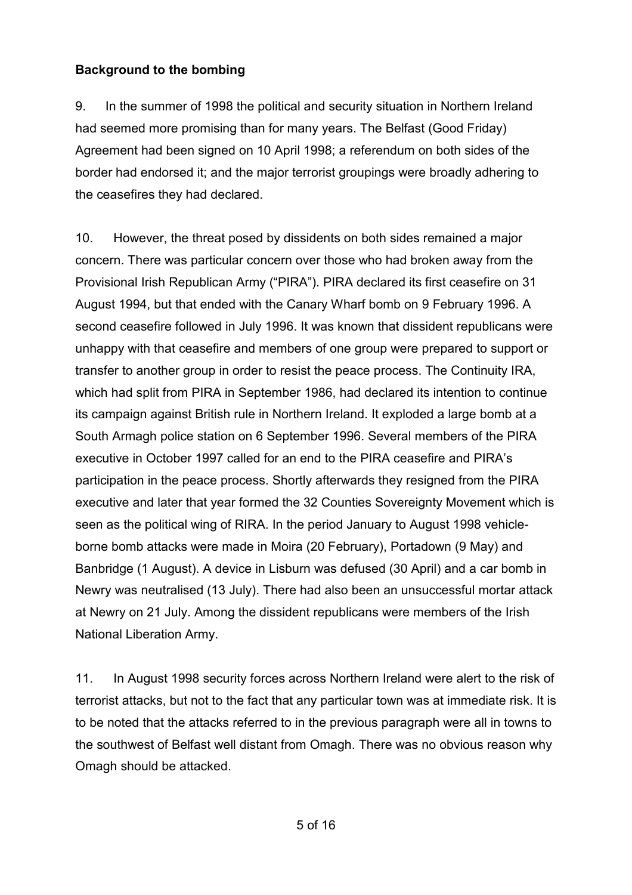### **Background to the bombing**

9. In the summer of 1998 the political and security situation in Northern Ireland had seemed more promising than for many years. The Belfast (Good Friday) Agreement had been signed on 10 April 1998; a referendum on both sides of the border had endorsed it; and the major terrorist groupings were broadly adhering to the ceasefires they had declared.

10. However, the threat posed by dissidents on both sides remained a major concern. There was particular concern over those who had broken away from the Provisional Irish Republican Army ("PIRA"). PIRA declared its first ceasefire on 31 August 1994, but that ended with the Canary Wharf bomb on 9 February 1996. A second ceasefire followed in July 1996. It was known that dissident republicans were unhappy with that ceasefire and members of one group were prepared to support or transfer to another group in order to resist the peace process. The Continuity IRA, which had split from PIRA in September 1986, had declared its intention to continue its campaign against British rule in Northern Ireland. It exploded a large bomb at a South Armagh police station on 6 September 1996. Several members of the PIRA executive in October 1997 called for an end to the PIRA ceasefire and PIRA's participation in the peace process. Shortly afterwards they resigned from the PIRA executive and later that year formed the 32 Counties Sovereignty Movement which is seen as the political wing of RIRA. In the period January to August 1998 vehicleborne bomb attacks were made in Moira (20 February), Portadown (9 May) and Banbridge (1 August). A device in Lisburn was defused (30 April) and a car bomb in Newry was neutralised (13 July). There had also been an unsuccessful mortar attack at Newry on 21 July. Among the dissident republicans were members of the Irish National Liberation Army.

11. In August 1998 security forces across Northern Ireland were alert to the risk of terrorist attacks, but not to the fact that any particular town was at immediate risk. It is to be noted that the attacks referred to in the previous paragraph were all in towns to the southwest of Belfast well distant from Omagh. There was no obvious reason why Omagh should be attacked.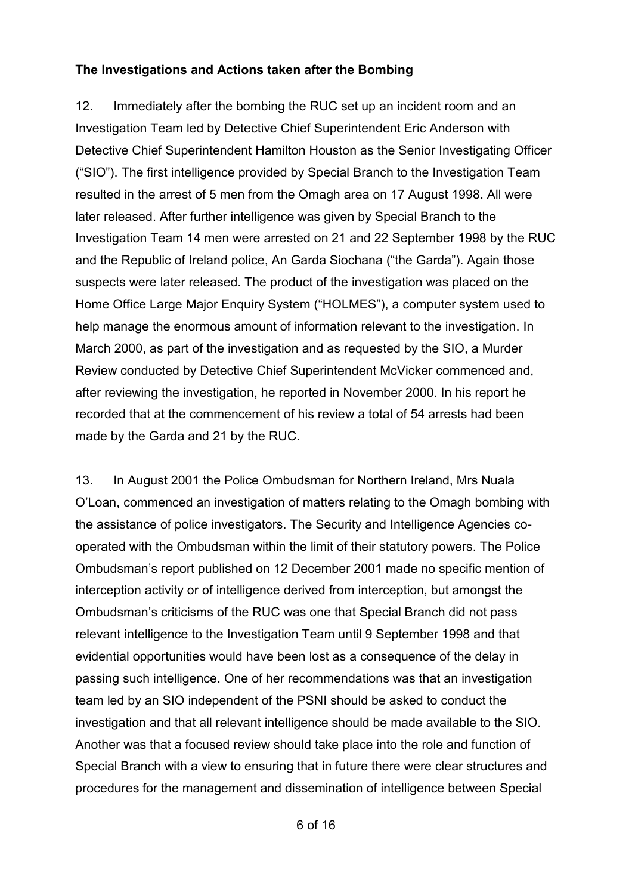#### **The Investigations and Actions taken after the Bombing**

12. Immediately after the bombing the RUC set up an incident room and an Investigation Team led by Detective Chief Superintendent Eric Anderson with Detective Chief Superintendent Hamilton Houston as the Senior Investigating Officer ("SIO"). The first intelligence provided by Special Branch to the Investigation Team resulted in the arrest of 5 men from the Omagh area on 17 August 1998. All were later released. After further intelligence was given by Special Branch to the Investigation Team 14 men were arrested on 21 and 22 September 1998 by the RUC and the Republic of Ireland police, An Garda Siochana ("the Garda"). Again those suspects were later released. The product of the investigation was placed on the Home Office Large Major Enquiry System ("HOLMES"), a computer system used to help manage the enormous amount of information relevant to the investigation. In March 2000, as part of the investigation and as requested by the SIO, a Murder Review conducted by Detective Chief Superintendent McVicker commenced and, after reviewing the investigation, he reported in November 2000. In his report he recorded that at the commencement of his review a total of 54 arrests had been made by the Garda and 21 by the RUC.

13. In August 2001 the Police Ombudsman for Northern Ireland, Mrs Nuala O'Loan, commenced an investigation of matters relating to the Omagh bombing with the assistance of police investigators. The Security and Intelligence Agencies cooperated with the Ombudsman within the limit of their statutory powers. The Police Ombudsman's report published on 12 December 2001 made no specific mention of interception activity or of intelligence derived from interception, but amongst the Ombudsman's criticisms of the RUC was one that Special Branch did not pass relevant intelligence to the Investigation Team until 9 September 1998 and that evidential opportunities would have been lost as a consequence of the delay in passing such intelligence. One of her recommendations was that an investigation team led by an SIO independent of the PSNI should be asked to conduct the investigation and that all relevant intelligence should be made available to the SIO. Another was that a focused review should take place into the role and function of Special Branch with a view to ensuring that in future there were clear structures and procedures for the management and dissemination of intelligence between Special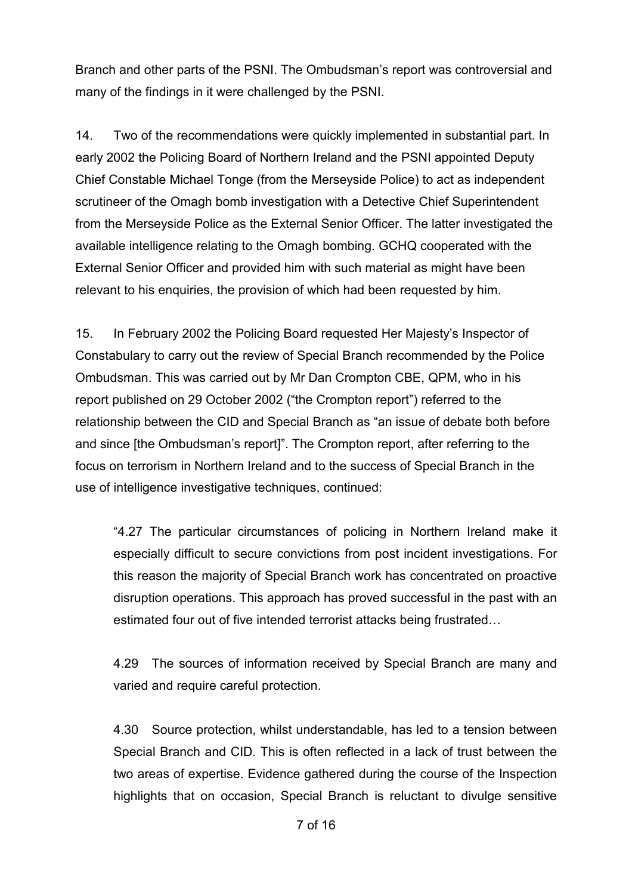Branch and other parts of the PSNI. The Ombudsman's report was controversial and many of the findings in it were challenged by the PSNI.

14. Two of the recommendations were quickly implemented in substantial part. In early 2002 the Policing Board of Northern Ireland and the PSNI appointed Deputy Chief Constable Michael Tonge (from the Merseyside Police) to act as independent scrutineer of the Omagh bomb investigation with a Detective Chief Superintendent from the Merseyside Police as the External Senior Officer. The latter investigated the available intelligence relating to the Omagh bombing. GCHQ cooperated with the External Senior Officer and provided him with such material as might have been relevant to his enquiries, the provision of which had been requested by him.

15. In February 2002 the Policing Board requested Her Majesty's Inspector of Constabulary to carry out the review of Special Branch recommended by the Police Ombudsman. This was carried out by Mr Dan Crompton CBE, QPM, who in his report published on 29 October 2002 ("the Crompton report") referred to the relationship between the CID and Special Branch as "an issue of debate both before and since [the Ombudsman's report]". The Crompton report, after referring to the focus on terrorism in Northern Ireland and to the success of Special Branch in the use of intelligence investigative techniques, continued:

"4.27 The particular circumstances of policing in Northern Ireland make it especially difficult to secure convictions from post incident investigations. For this reason the majority of Special Branch work has concentrated on proactive disruption operations. This approach has proved successful in the past with an estimated four out of five intended terrorist attacks being frustrated…

4.29 The sources of information received by Special Branch are many and varied and require careful protection.

4.30 Source protection, whilst understandable, has led to a tension between Special Branch and CID. This is often reflected in a lack of trust between the two areas of expertise. Evidence gathered during the course of the Inspection highlights that on occasion, Special Branch is reluctant to divulge sensitive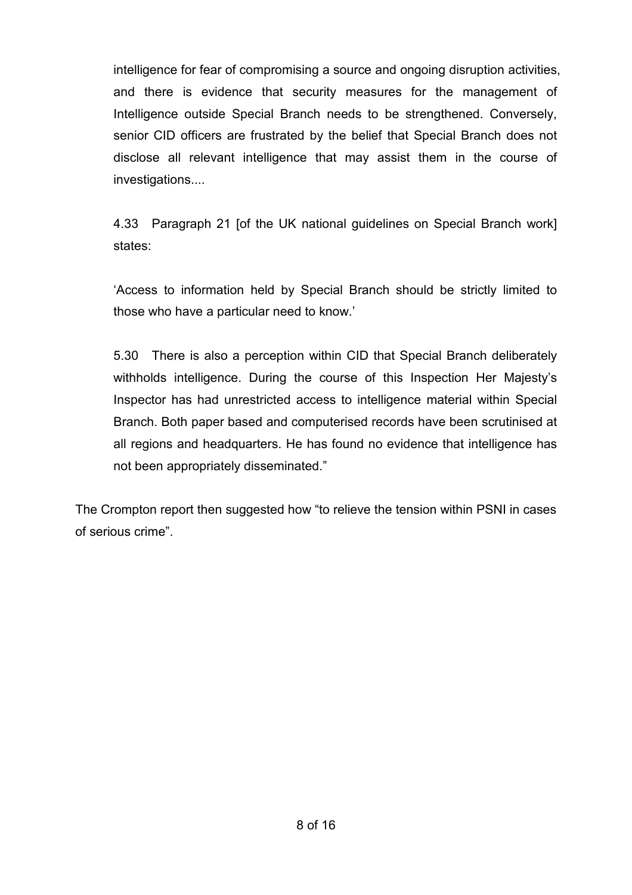intelligence for fear of compromising a source and ongoing disruption activities, and there is evidence that security measures for the management of Intelligence outside Special Branch needs to be strengthened. Conversely, senior CID officers are frustrated by the belief that Special Branch does not disclose all relevant intelligence that may assist them in the course of investigations....

4.33 Paragraph 21 [of the UK national guidelines on Special Branch work] states:

'Access to information held by Special Branch should be strictly limited to those who have a particular need to know.'

5.30 There is also a perception within CID that Special Branch deliberately withholds intelligence. During the course of this Inspection Her Majesty's Inspector has had unrestricted access to intelligence material within Special Branch. Both paper based and computerised records have been scrutinised at all regions and headquarters. He has found no evidence that intelligence has not been appropriately disseminated."

The Crompton report then suggested how "to relieve the tension within PSNI in cases of serious crime".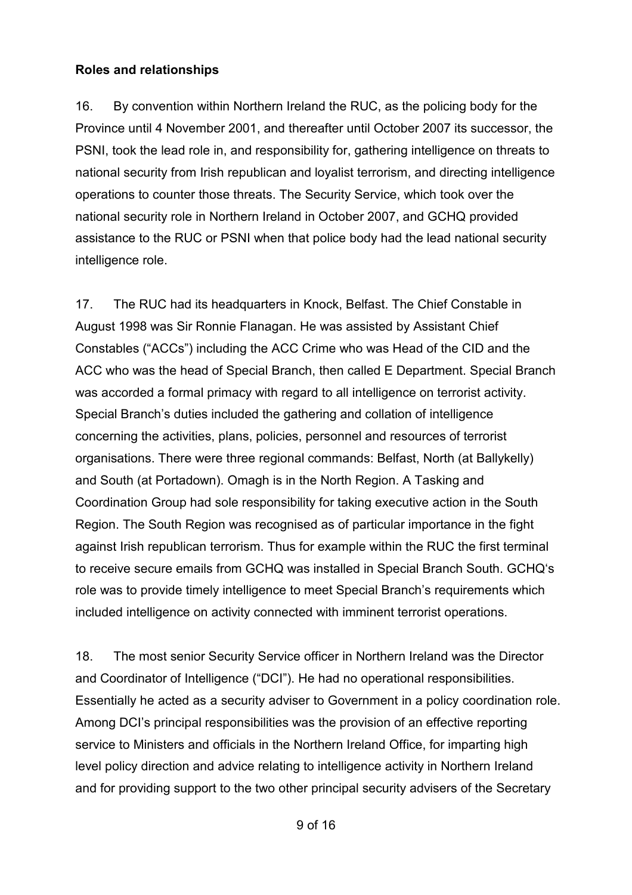#### **Roles and relationships**

16. By convention within Northern Ireland the RUC, as the policing body for the Province until 4 November 2001, and thereafter until October 2007 its successor, the PSNI, took the lead role in, and responsibility for, gathering intelligence on threats to national security from Irish republican and loyalist terrorism, and directing intelligence operations to counter those threats. The Security Service, which took over the national security role in Northern Ireland in October 2007, and GCHQ provided assistance to the RUC or PSNI when that police body had the lead national security intelligence role.

17. The RUC had its headquarters in Knock, Belfast. The Chief Constable in August 1998 was Sir Ronnie Flanagan. He was assisted by Assistant Chief Constables ("ACCs") including the ACC Crime who was Head of the CID and the ACC who was the head of Special Branch, then called E Department. Special Branch was accorded a formal primacy with regard to all intelligence on terrorist activity. Special Branch's duties included the gathering and collation of intelligence concerning the activities, plans, policies, personnel and resources of terrorist organisations. There were three regional commands: Belfast, North (at Ballykelly) and South (at Portadown). Omagh is in the North Region. A Tasking and Coordination Group had sole responsibility for taking executive action in the South Region. The South Region was recognised as of particular importance in the fight against Irish republican terrorism. Thus for example within the RUC the first terminal to receive secure emails from GCHQ was installed in Special Branch South. GCHQ's role was to provide timely intelligence to meet Special Branch's requirements which included intelligence on activity connected with imminent terrorist operations.

18. The most senior Security Service officer in Northern Ireland was the Director and Coordinator of Intelligence ("DCI"). He had no operational responsibilities. Essentially he acted as a security adviser to Government in a policy coordination role. Among DCI's principal responsibilities was the provision of an effective reporting service to Ministers and officials in the Northern Ireland Office, for imparting high level policy direction and advice relating to intelligence activity in Northern Ireland and for providing support to the two other principal security advisers of the Secretary

9 of 16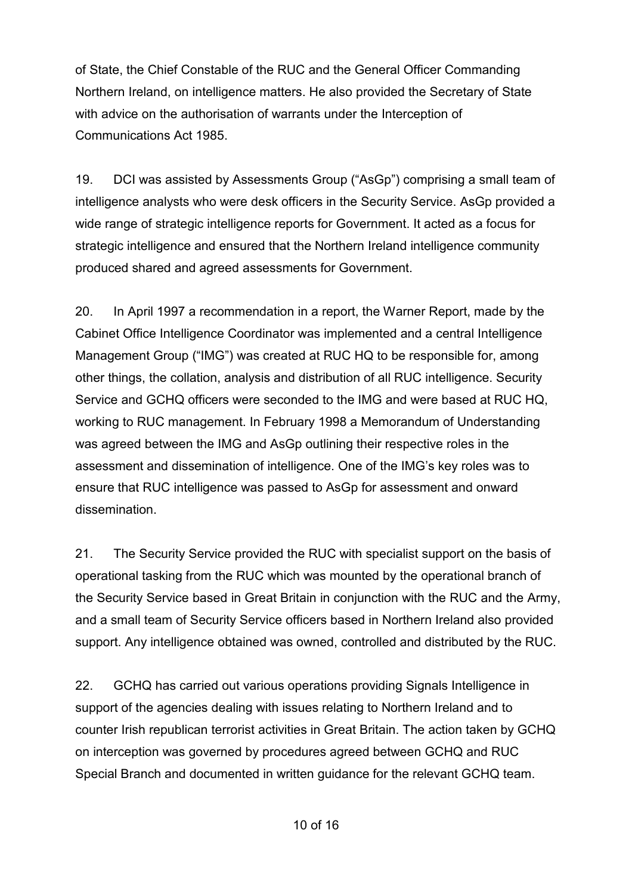of State, the Chief Constable of the RUC and the General Officer Commanding Northern Ireland, on intelligence matters. He also provided the Secretary of State with advice on the authorisation of warrants under the Interception of Communications Act 1985.

19. DCI was assisted by Assessments Group ("AsGp") comprising a small team of intelligence analysts who were desk officers in the Security Service. AsGp provided a wide range of strategic intelligence reports for Government. It acted as a focus for strategic intelligence and ensured that the Northern Ireland intelligence community produced shared and agreed assessments for Government.

20. In April 1997 a recommendation in a report, the Warner Report, made by the Cabinet Office Intelligence Coordinator was implemented and a central Intelligence Management Group ("IMG") was created at RUC HQ to be responsible for, among other things, the collation, analysis and distribution of all RUC intelligence. Security Service and GCHQ officers were seconded to the IMG and were based at RUC HQ, working to RUC management. In February 1998 a Memorandum of Understanding was agreed between the IMG and AsGp outlining their respective roles in the assessment and dissemination of intelligence. One of the IMG's key roles was to ensure that RUC intelligence was passed to AsGp for assessment and onward dissemination.

21. The Security Service provided the RUC with specialist support on the basis of operational tasking from the RUC which was mounted by the operational branch of the Security Service based in Great Britain in conjunction with the RUC and the Army, and a small team of Security Service officers based in Northern Ireland also provided support. Any intelligence obtained was owned, controlled and distributed by the RUC.

22. GCHQ has carried out various operations providing Signals Intelligence in support of the agencies dealing with issues relating to Northern Ireland and to counter Irish republican terrorist activities in Great Britain. The action taken by GCHQ on interception was governed by procedures agreed between GCHQ and RUC Special Branch and documented in written guidance for the relevant GCHQ team.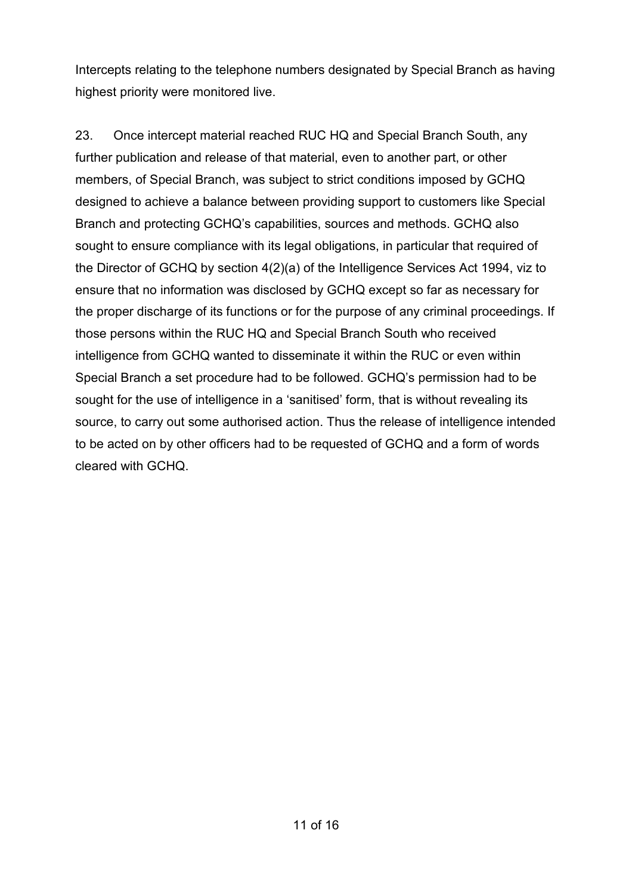Intercepts relating to the telephone numbers designated by Special Branch as having highest priority were monitored live.

23. Once intercept material reached RUC HQ and Special Branch South, any further publication and release of that material, even to another part, or other members, of Special Branch, was subject to strict conditions imposed by GCHQ designed to achieve a balance between providing support to customers like Special Branch and protecting GCHQ's capabilities, sources and methods. GCHQ also sought to ensure compliance with its legal obligations, in particular that required of the Director of GCHQ by section 4(2)(a) of the Intelligence Services Act 1994, viz to ensure that no information was disclosed by GCHQ except so far as necessary for the proper discharge of its functions or for the purpose of any criminal proceedings. If those persons within the RUC HQ and Special Branch South who received intelligence from GCHQ wanted to disseminate it within the RUC or even within Special Branch a set procedure had to be followed. GCHQ's permission had to be sought for the use of intelligence in a 'sanitised' form, that is without revealing its source, to carry out some authorised action. Thus the release of intelligence intended to be acted on by other officers had to be requested of GCHQ and a form of words cleared with GCHQ.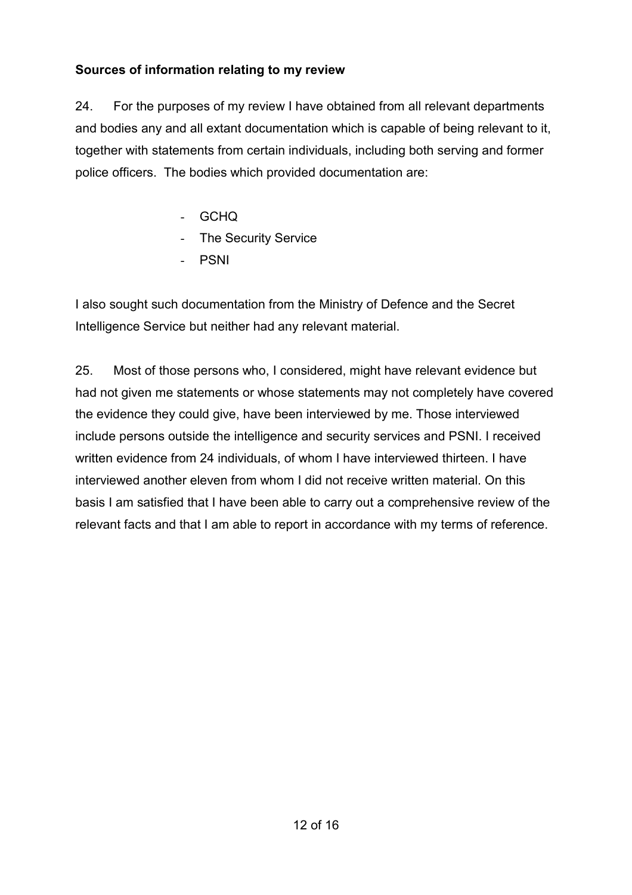## **Sources of information relating to my review**

24. For the purposes of my review I have obtained from all relevant departments and bodies any and all extant documentation which is capable of being relevant to it, together with statements from certain individuals, including both serving and former police officers. The bodies which provided documentation are:

- GCHQ
- The Security Service
- PSNI

I also sought such documentation from the Ministry of Defence and the Secret Intelligence Service but neither had any relevant material.

25. Most of those persons who, I considered, might have relevant evidence but had not given me statements or whose statements may not completely have covered the evidence they could give, have been interviewed by me. Those interviewed include persons outside the intelligence and security services and PSNI. I received written evidence from 24 individuals, of whom I have interviewed thirteen. I have interviewed another eleven from whom I did not receive written material. On this basis I am satisfied that I have been able to carry out a comprehensive review of the relevant facts and that I am able to report in accordance with my terms of reference.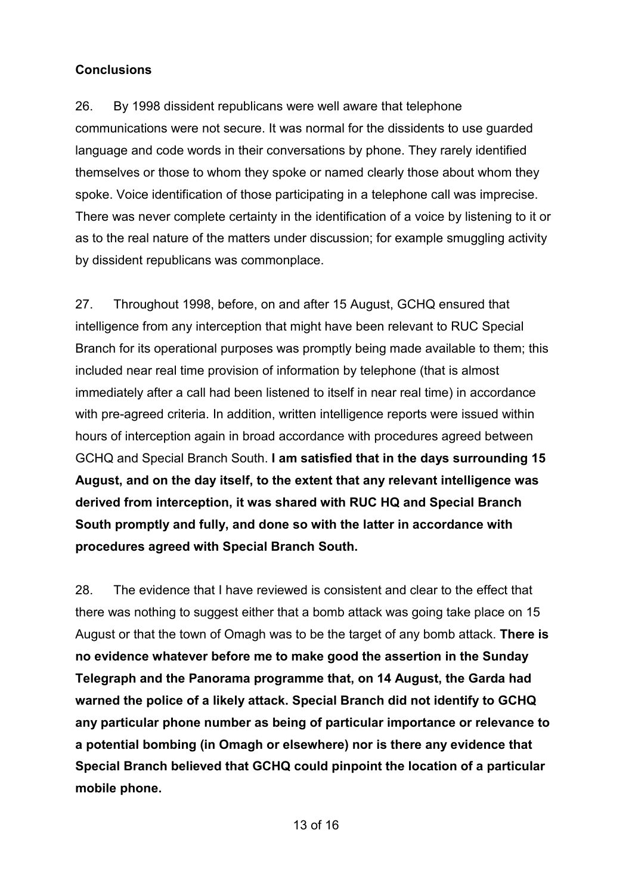#### **Conclusions**

26. By 1998 dissident republicans were well aware that telephone communications were not secure. It was normal for the dissidents to use guarded language and code words in their conversations by phone. They rarely identified themselves or those to whom they spoke or named clearly those about whom they spoke. Voice identification of those participating in a telephone call was imprecise. There was never complete certainty in the identification of a voice by listening to it or as to the real nature of the matters under discussion; for example smuggling activity by dissident republicans was commonplace.

27. Throughout 1998, before, on and after 15 August, GCHQ ensured that intelligence from any interception that might have been relevant to RUC Special Branch for its operational purposes was promptly being made available to them; this included near real time provision of information by telephone (that is almost immediately after a call had been listened to itself in near real time) in accordance with pre-agreed criteria. In addition, written intelligence reports were issued within hours of interception again in broad accordance with procedures agreed between GCHQ and Special Branch South. **I am satisfied that in the days surrounding 15 August, and on the day itself, to the extent that any relevant intelligence was derived from interception, it was shared with RUC HQ and Special Branch South promptly and fully, and done so with the latter in accordance with procedures agreed with Special Branch South.**

28. The evidence that I have reviewed is consistent and clear to the effect that there was nothing to suggest either that a bomb attack was going take place on 15 August or that the town of Omagh was to be the target of any bomb attack. **There is no evidence whatever before me to make good the assertion in the Sunday Telegraph and the Panorama programme that, on 14 August, the Garda had warned the police of a likely attack. Special Branch did not identify to GCHQ any particular phone number as being of particular importance or relevance to a potential bombing (in Omagh or elsewhere) nor is there any evidence that Special Branch believed that GCHQ could pinpoint the location of a particular mobile phone.**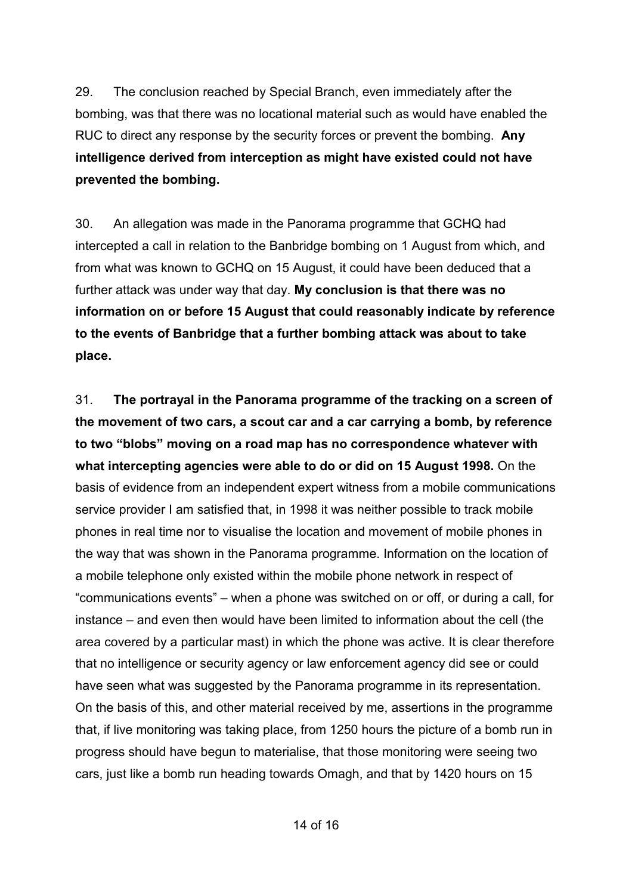29. The conclusion reached by Special Branch, even immediately after the bombing, was that there was no locational material such as would have enabled the RUC to direct any response by the security forces or prevent the bombing. **Any intelligence derived from interception as might have existed could not have prevented the bombing.**

30. An allegation was made in the Panorama programme that GCHQ had intercepted a call in relation to the Banbridge bombing on 1 August from which, and from what was known to GCHQ on 15 August, it could have been deduced that a further attack was under way that day. **My conclusion is that there was no information on or before 15 August that could reasonably indicate by reference to the events of Banbridge that a further bombing attack was about to take place.**

31. **The portrayal in the Panorama programme of the tracking on a screen of the movement of two cars, a scout car and a car carrying a bomb, by reference to two "blobs" moving on a road map has no correspondence whatever with what intercepting agencies were able to do or did on 15 August 1998.** On the basis of evidence from an independent expert witness from a mobile communications service provider I am satisfied that, in 1998 it was neither possible to track mobile phones in real time nor to visualise the location and movement of mobile phones in the way that was shown in the Panorama programme. Information on the location of a mobile telephone only existed within the mobile phone network in respect of "communications events" – when a phone was switched on or off, or during a call, for instance – and even then would have been limited to information about the cell (the area covered by a particular mast) in which the phone was active. It is clear therefore that no intelligence or security agency or law enforcement agency did see or could have seen what was suggested by the Panorama programme in its representation. On the basis of this, and other material received by me, assertions in the programme that, if live monitoring was taking place, from 1250 hours the picture of a bomb run in progress should have begun to materialise, that those monitoring were seeing two cars, just like a bomb run heading towards Omagh, and that by 1420 hours on 15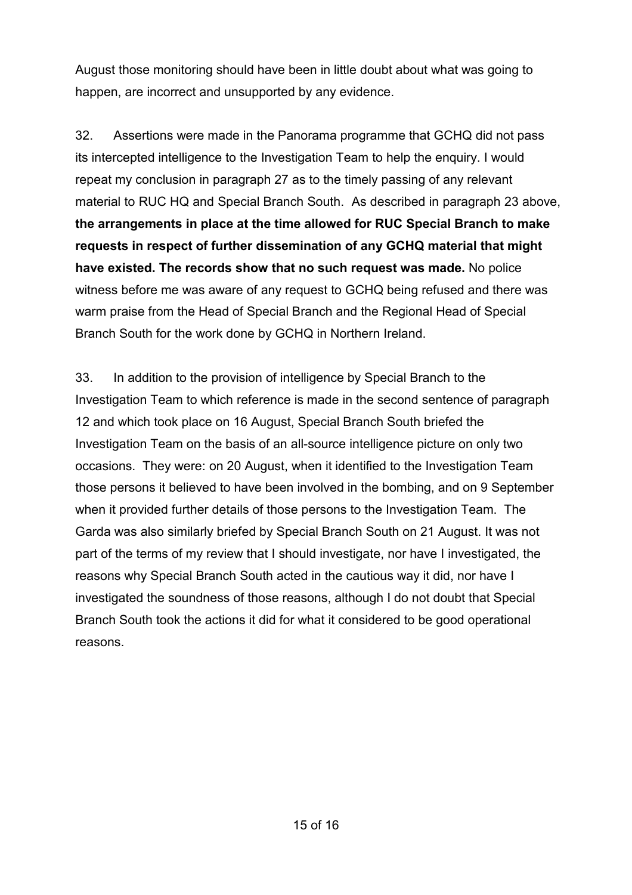August those monitoring should have been in little doubt about what was going to happen, are incorrect and unsupported by any evidence.

32. Assertions were made in the Panorama programme that GCHQ did not pass its intercepted intelligence to the Investigation Team to help the enquiry. I would repeat my conclusion in paragraph 27 as to the timely passing of any relevant material to RUC HQ and Special Branch South. As described in paragraph 23 above, **the arrangements in place at the time allowed for RUC Special Branch to make requests in respect of further dissemination of any GCHQ material that might have existed. The records show that no such request was made.** No police witness before me was aware of any request to GCHQ being refused and there was warm praise from the Head of Special Branch and the Regional Head of Special Branch South for the work done by GCHQ in Northern Ireland.

33. In addition to the provision of intelligence by Special Branch to the Investigation Team to which reference is made in the second sentence of paragraph 12 and which took place on 16 August, Special Branch South briefed the Investigation Team on the basis of an all-source intelligence picture on only two occasions. They were: on 20 August, when it identified to the Investigation Team those persons it believed to have been involved in the bombing, and on 9 September when it provided further details of those persons to the Investigation Team. The Garda was also similarly briefed by Special Branch South on 21 August. It was not part of the terms of my review that I should investigate, nor have I investigated, the reasons why Special Branch South acted in the cautious way it did, nor have I investigated the soundness of those reasons, although I do not doubt that Special Branch South took the actions it did for what it considered to be good operational reasons.